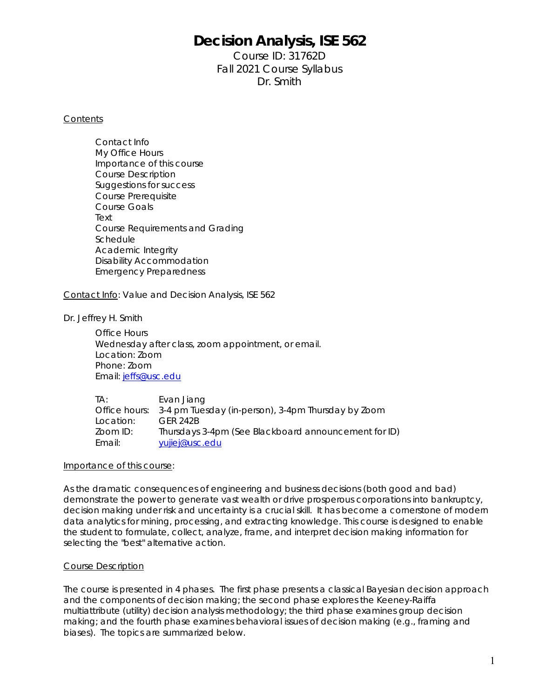# **Decision Analysis, ISE 562**

Course ID: 31762D Fall 2021 Course Syllabus Dr. Smith

## Contents

Contact Info My Office Hours Importance of this course Course Description Suggestions for success Course Prerequisite Course Goals Text Course Requirements and Grading **Schedule** Academic Integrity Disability Accommodation Emergency Preparedness

## Contact Info: Value and Decision Analysis, ISE 562

#### Dr. Jeffrey H. Smith

Office Hours Wednesday after class, zoom appointment, or email. Location: Zoom Phone: Zoom Email: jeffs@usc.edu

TA: Evan Jiang Office hours: 3-4 pm Tuesday (in-person), 3-4pm Thursday by Zoom Location: GER 242B Zoom ID: Thursdays 3-4pm (See Blackboard announcement for ID) Email: yujiej@usc.edu

#### Importance of this course:

As the dramatic consequences of engineering and business decisions (both good and bad) demonstrate the power to generate vast wealth or drive prosperous corporations into bankruptcy, decision making under risk and uncertainty is a crucial skill. It has become a cornerstone of modern data analytics for mining, processing, and extracting knowledge. This course is designed to enable the student to formulate, collect, analyze, frame, and interpret decision making information for selecting the "best" alternative action.

#### Course Description

The course is presented in 4 phases. The first phase presents a classical Bayesian decision approach and the components of decision making; the second phase explores the Keeney-Raiffa multiattribute (utility) decision analysis methodology; the third phase examines group decision making; and the fourth phase examines behavioral issues of decision making (e.g., framing and biases). The topics are summarized below.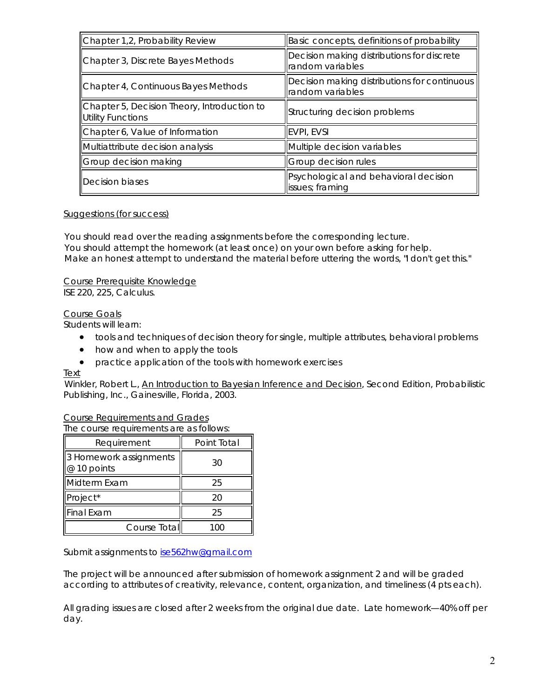| Chapter 1,2, Probability Review                                  | Basic concepts, definitions of probability                       |
|------------------------------------------------------------------|------------------------------------------------------------------|
| Chapter 3, Discrete Bayes Methods                                | Decision making distributions for discrete<br>random variables   |
| Chapter 4, Continuous Bayes Methods                              | Decision making distributions for continuous<br>random variables |
| Chapter 5, Decision Theory, Introduction to<br>Utility Functions | Structuring decision problems                                    |
| Chapter 6, Value of Information                                  | <b>EVPI, EVSI</b>                                                |
| Multiattribute decision analysis                                 | Multiple decision variables                                      |
| Group decision making                                            | Group decision rules                                             |
| Decision biases                                                  | Psychological and behavioral decision<br>issues; framing         |

## Suggestions (for success)

You should read over the reading assignments before the corresponding lecture. You should attempt the homework (at least once) on your own before asking for help. Make an honest attempt to understand the material before uttering the words, "I don't get this."

Course Prerequisite Knowledge

ISE 220, 225, Calculus.

## Course Goals

Students will learn:

- tools and techniques of decision theory for single, multiple attributes, behavioral problems
- how and when to apply the tools
- practice application of the tools with homework exercises

## Text

Winkler, Robert L., An Introduction to Bayesian Inference and Decision, Second Edition, Probabilistic Publishing, Inc., Gainesville, Florida, 2003.

# Course Requirements and Grades

The course requirements are as follows:

| Requirement                           | Point Total |  |
|---------------------------------------|-------------|--|
| 3 Homework assignments<br>@ 10 points | 30          |  |
| Midterm Exam                          | 25          |  |
| Project*                              | 20          |  |
| Final Exam                            | 25          |  |
| Course Total                          |             |  |

Submit assignments to **ise562hw@gmail.com** 

The project will be announced after submission of homework assignment 2 and will be graded according to attributes of creativity, relevance, content, organization, and timeliness (4 pts each).

All grading issues are closed after 2 weeks from the original due date. Late homework—40% off per day.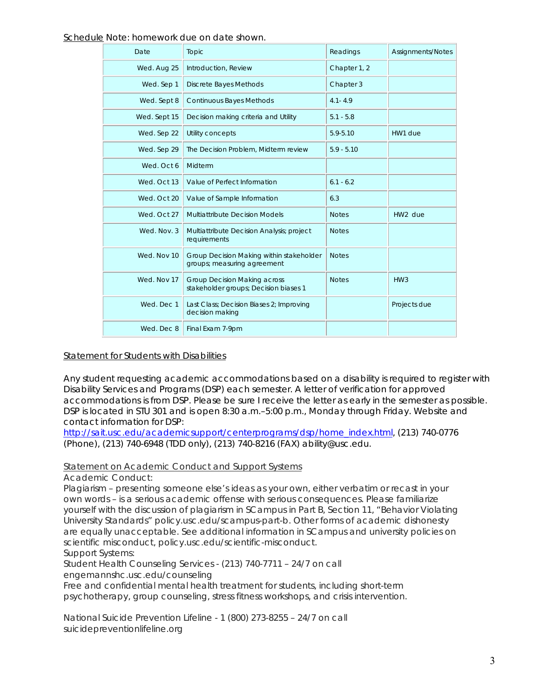#### Schedule Note: homework due on date shown.

| Date         | Topic                                                                        | Readings     | <b>Assignments/Notes</b> |
|--------------|------------------------------------------------------------------------------|--------------|--------------------------|
| Wed. Aug 25  | Introduction, Review                                                         | Chapter 1, 2 |                          |
| Wed. Sep 1   | Discrete Bayes Methods                                                       | Chapter 3    |                          |
| Wed. Sept 8  | <b>Continuous Bayes Methods</b>                                              | $4.1 - 4.9$  |                          |
| Wed. Sept 15 | Decision making criteria and Utility                                         | $5.1 - 5.8$  |                          |
| Wed. Sep 22  | Utility concepts                                                             | $5.9 - 5.10$ | HW1 due                  |
| Wed. Sep 29  | The Decision Problem, Midterm review                                         | $5.9 - 5.10$ |                          |
| Wed. Oct 6   | Midterm                                                                      |              |                          |
| Wed. Oct 13  | Value of Perfect Information                                                 | $6.1 - 6.2$  |                          |
| Wed. Oct 20  | Value of Sample Information                                                  | 6.3          |                          |
| Wed. Oct 27  | Multiattribute Decision Models                                               | <b>Notes</b> | HW <sub>2</sub> due      |
| Wed. Nov. 3  | Multiattribute Decision Analysis; project<br>requirements                    | <b>Notes</b> |                          |
| Wed. Nov 10  | Group Decision Making within stakeholder<br>groups; measuring agreement      | <b>Notes</b> |                          |
| Wed. Nov 17  | <b>Group Decision Making across</b><br>stakeholder groups; Decision biases 1 | <b>Notes</b> | HW <sub>3</sub>          |
| Wed. Dec 1   | Last Class; Decision Biases 2; Improving<br>decision making                  |              | Projects due             |
| Wed. Dec 8   | Final Exam 7-9pm                                                             |              |                          |

# Statement for Students with Disabilities

Any student requesting academic accommodations based on a disability is required to register with Disability Services and Programs (DSP) each semester. A letter of verification for approved accommodations is from DSP. Please be sure I receive the letter as early in the semester as possible. DSP is located in STU 301 and is open 8:30 a.m.–5:00 p.m., Monday through Friday. Website and contact information for DSP:

http://sait.usc.edu/academicsupport/centerprograms/dsp/home\_index.html, (213) 740-0776 (Phone), (213) 740-6948 (TDD only), (213) 740-8216 (FAX) ability@usc.edu.

## Statement on Academic Conduct and Support Systems

Academic Conduct:

Plagiarism – presenting someone else's ideas as your own, either verbatim or recast in your own words – is a serious academic offense with serious consequences. Please familiarize yourself with the discussion of plagiarism in SCampus in Part B, Section 11, "Behavior Violating University Standards" policy.usc.edu/scampus-part-b. Other forms of academic dishonesty are equally unacceptable. See additional information in SCampus and university policies on scientific misconduct, policy.usc.edu/scientific-misconduct.

Support Systems:

Student Health Counseling Services - (213) 740-7711 – 24/7 on call

engemannshc.usc.edu/counseling

Free and confidential mental health treatment for students, including short-term psychotherapy, group counseling, stress fitness workshops, and crisis intervention.

National Suicide Prevention Lifeline - 1 (800) 273-8255 – 24/7 on call suicidepreventionlifeline.org